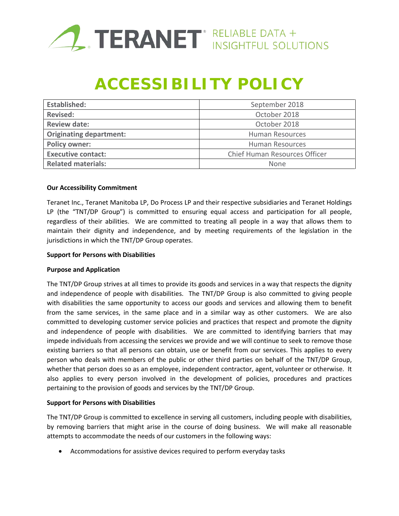

# **ACCESSIBILITY POLICY**

| <b>Established:</b>            | September 2018                |
|--------------------------------|-------------------------------|
| <b>Revised:</b>                | October 2018                  |
| <b>Review date:</b>            | October 2018                  |
| <b>Originating department:</b> | <b>Human Resources</b>        |
| <b>Policy owner:</b>           | <b>Human Resources</b>        |
| <b>Executive contact:</b>      | Chief Human Resources Officer |
| <b>Related materials:</b>      | None                          |

### **Our Accessibility Commitment**

Teranet Inc., Teranet Manitoba LP, Do Process LP and their respective subsidiaries and Teranet Holdings LP (the "TNT/DP Group") is committed to ensuring equal access and participation for all people, regardless of their abilities. We are committed to treating all people in a way that allows them to maintain their dignity and independence, and by meeting requirements of the legislation in the jurisdictions in which the TNT/DP Group operates.

#### **Support for Persons with Disabilities**

### **Purpose and Application**

The TNT/DP Group strives at all times to provide its goods and services in a way that respects the dignity and independence of people with disabilities. The TNT/DP Group is also committed to giving people with disabilities the same opportunity to access our goods and services and allowing them to benefit from the same services, in the same place and in a similar way as other customers. We are also committed to developing customer service policies and practices that respect and promote the dignity and independence of people with disabilities. We are committed to identifying barriers that may impede individuals from accessing the services we provide and we will continue to seek to remove those existing barriers so that all persons can obtain, use or benefit from our services. This applies to every person who deals with members of the public or other third parties on behalf of the TNT/DP Group, whether that person does so as an employee, independent contractor, agent, volunteer or otherwise. It also applies to every person involved in the development of policies, procedures and practices pertaining to the provision of goods and services by the TNT/DP Group.

### **Support for Persons with Disabilities**

The TNT/DP Group is committed to excellence in serving all customers, including people with disabilities, by removing barriers that might arise in the course of doing business. We will make all reasonable attempts to accommodate the needs of our customers in the following ways:

• Accommodations for assistive devices required to perform everyday tasks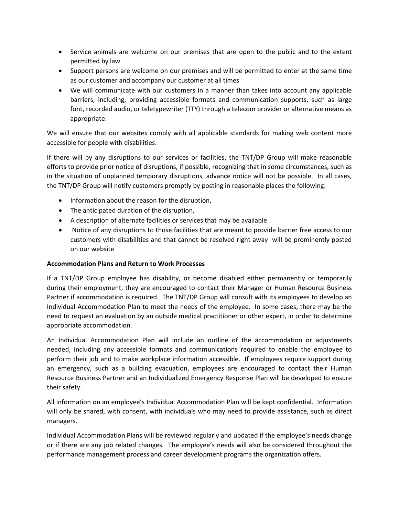- Service animals are welcome on our premises that are open to the public and to the extent permitted by law
- Support persons are welcome on our premises and will be permitted to enter at the same time as our customer and accompany our customer at all times
- We will communicate with our customers in a manner than takes into account any applicable barriers, including, providing accessible formats and communication supports, such as large font, recorded audio, or teletypewriter (TTY) through a telecom provider or alternative means as appropriate.

We will ensure that our websites comply with all applicable standards for making web content more accessible for people with disabilities.

If there will by any disruptions to our services or facilities, the TNT/DP Group will make reasonable efforts to provide prior notice of disruptions, if possible, recognizing that in some circumstances, such as in the situation of unplanned temporary disruptions, advance notice will not be possible. In all cases, the TNT/DP Group will notify customers promptly by posting in reasonable places the following:

- Information about the reason for the disruption,
- The anticipated duration of the disruption,
- A description of alternate facilities or services that may be available
- Notice of any disruptions to those facilities that are meant to provide barrier free access to our customers with disabilities and that cannot be resolved right away will be prominently posted on our website

### **Accommodation Plans and Return to Work Processes**

If a TNT/DP Group employee has disability, or become disabled either permanently or temporarily during their employment, they are encouraged to contact their Manager or Human Resource Business Partner if accommodation is required. The TNT/DP Group will consult with its employees to develop an Individual Accommodation Plan to meet the needs of the employee. In some cases, there may be the need to request an evaluation by an outside medical practitioner or other expert, in order to determine appropriate accommodation.

An Individual Accommodation Plan will include an outline of the accommodation or adjustments needed, including any accessible formats and communications required to enable the employee to perform their job and to make workplace information accessible. If employees require support during an emergency, such as a building evacuation, employees are encouraged to contact their Human Resource Business Partner and an Individualized Emergency Response Plan will be developed to ensure their safety.

All information on an employee's Individual Accommodation Plan will be kept confidential. Information will only be shared, with consent, with individuals who may need to provide assistance, such as direct managers.

Individual Accommodation Plans will be reviewed regularly and updated if the employee's needs change or if there are any job related changes. The employee's needs will also be considered throughout the performance management process and career development programs the organization offers.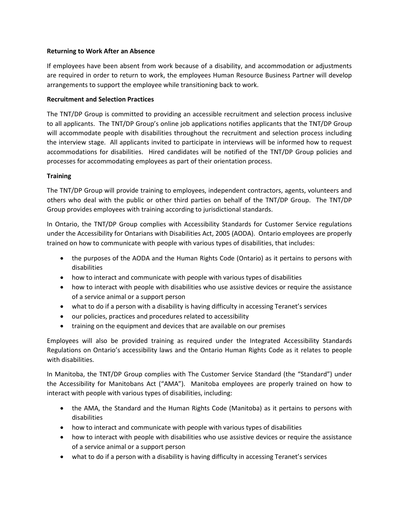## **Returning to Work After an Absence**

If employees have been absent from work because of a disability, and accommodation or adjustments are required in order to return to work, the employees Human Resource Business Partner will develop arrangements to support the employee while transitioning back to work.

## **Recruitment and Selection Practices**

The TNT/DP Group is committed to providing an accessible recruitment and selection process inclusive to all applicants. The TNT/DP Group's online job applications notifies applicants that the TNT/DP Group will accommodate people with disabilities throughout the recruitment and selection process including the interview stage. All applicants invited to participate in interviews will be informed how to request accommodations for disabilities. Hired candidates will be notified of the TNT/DP Group policies and processes for accommodating employees as part of their orientation process.

# **Training**

The TNT/DP Group will provide training to employees, independent contractors, agents, volunteers and others who deal with the public or other third parties on behalf of the TNT/DP Group. The TNT/DP Group provides employees with training according to jurisdictional standards.

In Ontario, the TNT/DP Group complies with Accessibility Standards for Customer Service regulations under the Accessibility for Ontarians with Disabilities Act, 2005 (AODA). Ontario employees are properly trained on how to communicate with people with various types of disabilities, that includes:

- the purposes of the AODA and the Human Rights Code (Ontario) as it pertains to persons with disabilities
- how to interact and communicate with people with various types of disabilities
- how to interact with people with disabilities who use assistive devices or require the assistance of a service animal or a support person
- what to do if a person with a disability is having difficulty in accessing Teranet's services
- our policies, practices and procedures related to accessibility
- training on the equipment and devices that are available on our premises

Employees will also be provided training as required under the Integrated Accessibility Standards Regulations on Ontario's accessibility laws and the Ontario Human Rights Code as it relates to people with disabilities.

In Manitoba, the TNT/DP Group complies with The Customer Service Standard (the "Standard") under the Accessibility for Manitobans Act ("AMA"). Manitoba employees are properly trained on how to interact with people with various types of disabilities, including:

- the AMA, the Standard and the Human Rights Code (Manitoba) as it pertains to persons with disabilities
- how to interact and communicate with people with various types of disabilities
- how to interact with people with disabilities who use assistive devices or require the assistance of a service animal or a support person
- what to do if a person with a disability is having difficulty in accessing Teranet's services